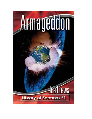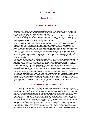# **Armageddon**

#### **By Joe Crews**

### **1 ISRAEL'S FINAL WAR**

The signing of the Israeli-Egyptian peace treaty on March 26, 1979, marked an emotional moment in the history of the Middle East. After years of bitter animosity punctuated by military conflict, an Arab nation and a Jewish nation embraced each other with promises of peace.

 What did it signify for the little pocket of Zionism whose struggles for survival have drawn United States approval and support? Egyptian President Anwar Sadat, before his death, was unable to provide the security and permanent peace which has eluded Israel since the days of Abraham. The answer to Israel's dilemma is clearly revealed in the fantastic prophecies of the Bible.

 According to the Word of God, Israel will not find true deliverance from her enemies until it is secured for her by the kings of the east. Her last war has not yet been fought. The book of Revelation describes an alliance with some powerful defenders who finally destroy the oppressors of Israel and establish her in eternal security. Those allies are given the enigmatic title "kings of the east" in Revelation 16:12. They actually intervene to deliver Israel during the war of Armageddon, described in the Bible as the final conflict to take place on this planet. All nations will be involved in this battle, but Israel will be the only victor.

 Our purpose in this study is to answer a number of questions. What is the nature of that final war of Armageddon? How can all the countries of the world be involved in it? How is it possible for only one group, the people of Israel, to survive this holocaust? Who are the mysterious kings of the east that effect her victory? And finally, how is Israel delivered from her enemies by the drying up of the Euphrates River, as described in Revelation 16:12?

 First of all, we need to find out if the present nation of Israel is the same Israel which is designated in the book of Revelation as the people of God. Some tremendous prophecies are found in that book, most of them concerned with saving the embattled remnant group of faithful followers of Jesus Christ. Those followers are sometimes referred to as the "tribes of Israel" and spoken of in the context of Jewish customs. Does this mean that the literal nation of Israel—the one which is fighting with tanks and bombs—will completely reverse itself and become Christians? Will they lay aside their Zionist ambitions to kill their attackers and espouse the peaceful principles of the Sermon on the Mount—the one about loving the enemy and turning the other cheek?

 Millions of Bible students believe that this kind of spectacular conversion must take place in order for Bible prophecy to be fulfilled. They base their belief upon the prophecies found in Jeremiah, Ezekiel, Isaiah, etc., regarding Israel's restoration and final triumph. Are they correct? It is true that the prophets painted glowing word pictures of Israel's future and recorded scores of promises about her authority over other nations. But is the Israel of the Old Testament the same Israel of the book of Revelation? Were the promises unconditional and irrevocable? Will the literal, fleshly descendants of Abraham turn en masse to the Messiah, be restored as a nation, and saved as a people?

#### **2 PROMISES TO ISRAEL CONDITIONAL**

 A careful study of the Bible reveals that those promises of the Old Testament were not unconditional promises at all. Repeatedly, the nation of Israel was warned of the dire consequences of disobedience. Both blessing and curse were set before them, depending on obedience or disobedience. Because of continued patterns of rebellion, God allowed them to be decimated and scattered into Babylonian captivity for seventy years. Many prophets were raised up by God to foretell their return from that captivity. Some modem commentators have made the mistake of applying those prophecies of restoration to some future gathering of Israel. They refuse to see that the restoration spoken of by Isaiah and Jeremiah has already taken place.

 There is neither time nor space to record here a fraction of the graphic threats of rejection made to Israel. Over and over God gave warnings like this: "And if thou wilt ... do according to all that I have commanded thee, and wilt keep my statutes and my judgments: *Then I will establish the throne* of thy kingdom upon Israel for ever ... *But if ye shall* at all turn from following me, ye or your children, and will not keep my commandments ... *Then will I cut off Israel* out of the land which I have given them; and this house, which I have hallowed for my name, will I *cast out* of my sight; and Israel shall be a proverb and a byword among all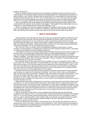people" (1 Kings 9:4-7).

 Finally, as related through the prophet Daniel, God allotted a probationary period of 490 years for the Jewish people to see what they would do about the Messiah (Daniel 9:24). That prophetic time period of 70 weeks (a day for a year, Ezekiel 4:6) began with the going forth of the commandment to restore and build Jerusalem (Artaxerxes' decree in 457 B.C., Ezra 7:11) and ended in A.D. 34. In that same year the gospel began to go to the Gentiles, Stephen was stoned, and Paul went forth to begin his unique ministry to the non-Jews. The occasion marked the formal and final separation of Israel from its covenant relationship.

 Jesus had explained to the Jewish leaders in the clearest possible language that their rejection of Him would seal their own rejection as the children of the kingdom. "The kingdom of God shall be taken from you, and given to a nation bringing forth the fruits thereof" (Matthew 21:43).

 There is no mystery as to why the hundreds of specific Old Testament promises were never fulfilled to Israel. They utterly failed to meet the conditions of obedience. Otherwise, they would have inherited the earth, been delivered from all their enemies, and made Jerusalem the worship center for all nations.

#### 3 **WHO IS TRUE ISRAEL?**

 The big question is this: Will God's promises fail just because the literal descendants of Abraham did not meet the terms of the covenant? Were the promises transferred to that other "nation" to whom Jesus said the kingdom would be given? Or must we still put our faith in some future turnaround that will restore national Israel to the divine favor? All those points will be completely clarified the moment we establish one basic rule of biblical interpretation. Without this principle in mind no one can properly understand the books of Daniel and Revelation, nor can we identify the true Israel of today.

 Here is the rule: *There is a primary, local, literal application of prophecy which points to a future, worldwide, spiritual application.* By applying this principle to the Old Testament Scriptures there is absolutely no confusion as to the place of Israel in prophecy and history.

 All the glorious promises were *primarily* aimed toward immediate blessings that God wanted to bestow on the nation. But in a *secondary* sense they pointed forward to a larger spiritual fulfillment on a worldwide level. Even though the local fulfillment failed when Israel failed to be faithful, the promises were never nullified or withdrawn. They will be honored, but only to that "nation" which Jesus said must replace the Jews as receivers of the kingdom. Who is that nation and people? The New Testament is saturated with the most explicit statements as to who the new Israel is.

 Peter describes those "which in time past were not a people, but are now the people of God" in these words: "But ye are a chosen generation, a royal priesthood, an *holy nation*, a peculiar people; that ye should shew forth the praises of him who hath called you out of darkness into his marvelous light" (1 Peter 2:9, 10). Here is the new nation which replaces the nation of Israel. The Gentiles who will receive the true Messiah now enter into the New Covenant, ratified by the blood of the cross, and become the true spiritual Israel of God. They who were not God's people become His "holy nation."

 Will they receive the very same promises that were given to Abraham's descendants? Indeed, the Bible says that they are counted as the actual seed of Abraham. "And if ye be Christ's, then are ye Abraham's seed, and *heirs according to the promise*" (Galatians 3:29). Paul makes it even clearer in Romans 9:8. "They which are the children of the flesh, these are not the children of God: but the children of the promise are *counted for the seed*." Again, Paul wrote, "For he is not a Jew, which is one outwardly; neither is that circumcision, which is outward in the flesh: But he is a Jew, which is one inwardly; and circumcision is that of the heart" (Romans 2:28, 29).

 Notice that true Israel will be characterized by circumcision of the heart and not of the flesh. What is heart circumcision? "Ye are circumcised with the circumcision made without hands, in putting off the body of the sins of the flesh by the circumcision of Christ" (Colossians 2:11). Don't miss the significance of that text. Just as the Old Covenant was represented by the cutting off of the physical flesh, so the New Covenant would be exemplified by the cutting off of the fleshly nature of sin. In other words, all who accept Christ and are born again are the truly circumcised and the only true Jews. And according to Paul they also will inherit the promises made to Abraham.

 After the crucifixion of Christ, there is not one indication that the literal Jews were accorded any recognition as the children of God. It is true that the door was left open through the preaching of the apostles until A.D. 34 , the end of Daniel's seventy-week prophecy. *But from that time on no recognition is given to Israel as a nation.* Israel henceforth is God's people, made up of all those who accept the Saviour, whether Jew or Gentile. The Old Testament imagery and terminology is still used, especially in the book of Revelation, but Israel is now the church.

 So we can see that there was no failure of the promises at all. They simply were transferred to the true spiritual Israel, which is the church, made up of all true believers in Christ. And the things that will happen to the church spiritually were foreshadowed by what happened to ancient Israel in a literal sense. Let's look at a simple example of this principle in operation.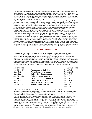In the midst of Ezekiel's portrayal of Israel's victory over her enemies and influence over the nations, he began to describe a magnificent temple that would be built. Several chapters (40-48) are devoted to the precise measurements and physical appointments of that temple. *Yet the temple has never been built.* Other prophets referred to the program of building or restoring such a temple. Amos prophesied, "In that day will I raise up the tabernacle of David that is fallen, and close up the breaches thereof; and I will raise up his ruins, and *I will build it* as in the days of old" (Amos 9:11).

 Many modern interpreters apply this promise to some future construction of a physical temple. But the Bible principle is that there is a secondary, worldwide fulfillment which is not physical, but spiritual. The New Testament confirms this by explaining how the prophecy of Amos has been fulfilled. "Simeon hath declared how God at the first did visit the Gentiles, to take out of them a people for his name. And to this agree the words of the prophets; as it is written, After this I will return, and will build again the tabernacle of David, which is fallen down; and I will build again the ruins thereof, and I will set it up" (Acts 15:14-16).

 Please notice how the Old Testament temple prophecies apply to the living church! The physical temple has now become the spiritual temple of the church, made up of Gentiles and all true believers. No one should now be looking for any restored, literal temple to be built. The body of Christ's church is now the temple (1 Corinthians 3:16), and we are the "lively stones" of that "spiritual house" (1 Peter 2:5).

 Some have felt confused because much of the Old Testament terminology is carried over into the New Testament description of the church—words like kingdom, nation, Israel, temple, Jerusalem, Zion, tribes of Israel, etc. Even Christ said to the Pharisees, "The *kingdom* of God shall be taken from you, (literal Israel) and given to a *nation* (spiritual Israel) bringing forth the fruits thereof" (Matthew 21:43). This is one reason the futurists and dispensationalists believe the book of Revelation pertains to the literal Jew in modem Israel. But there is no cause for such confusion. The explanation had been so clearly made in so many places that the New Testament writer assumed all were aware that the church now replaced national Israel.

#### 4 **THE TWO BABYLONS**

 As we enter into a study of Armageddon, it is tremendously important to keep this great rule of interpretation before us. The vast confusion on prophecy today stems from ignorance of this principle. Let us repeat once more that the kingdom prophecies given by Isaiah, Jeremiah, Ezekiel, etc., have a double application—one to be fulfilled locally; the other to be fulfilled on a worldwide scale in the last days. And the church takes the place of the nation as God's true chosen people. With this background we are prepared to study the subject of Armageddon. That world-ending conflict is tied closely to the things we have just stated about spiritual Israel and a secondary application of prophecy. A most amazing parallel exists between what happened to ancient Israel and the events concerning spiritual Israel in the book of Revelation.

| Ancient Israel |                                | Spiritual Israel |
|----------------|--------------------------------|------------------|
| Jer. 50:33,34  | Persecuted by Babylon          | Rev. 17:6        |
| Dan. 3:13      | Forced to worship image        | Rev. 13:15       |
| Dan. 4:30      | Called "Babylon the Great"     | Rev. 17:5        |
| Jer. 51:13,14  | Babylon sits on many waters    | Rev. 17:1        |
| Isa. 44:27,28  | <b>Rescued-dried Euphrates</b> | Rev. 16:12       |
| Jer. 51:6-8    | Called out of Babylon          | Rev. 18:4        |
| Isa. 45:1      | Rescuer called the anointed    | Dan. 9:25        |
| Isa. 41:2, 25  | Both rescuers from east        | Mat. 24:27,      |
|                |                                | Rev. 7:2         |

 You will notice that God's people had almost the same experience in the Old Testament and the New Testament. They were forced to worship an image and were rescued by someone from the east who dried up the river Euphrates to set them free. Within this broad outline there are scores of other astonishing similarities between the two Israels'—one literal and the other spiritual.

 It is obvious that the church—God's people of the last days—will be persecuted and threatened with death just like ancient Israel. In the book of Revelation they are delivered from spiritual Babylon in connection with the battle of Armageddon. "And the sixth angel poured out his vial upon the great river Euphrates; and the water thereof was dried up, that the way of the kings of the east might be prepared. And I saw three unclean spirits like frogs come out of the mouth of the dragon and out of the mouth of the beast, and out of the mouth of the false prophet. For they are the spirits of devils, working miracles, which go forth unto the kings of the earth and of the whole world, to gather them to the battle of that great day of God Almighty. ... And he gathered them together in a place called in the Hebrew tongue Armageddon"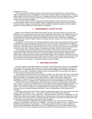#### (Revelation 16:12-16).

 These verses are filled with great meaning. They reveal that three powerful forces will be utilized by Satan in preparing the way for Armageddon. Those three—the beast, dragon and false prophet—stir up the political powers of earth to take part in that war. It is apparent that those three are religious powers, at least in their claims, because they *work miracles* to impress the governments of the earth. Miracles are only operative within the realm of religion.

 Time and space does not allow us to give all the biblical evidence to show how these three symbols incorporate all the modern forms of counterfeit religion. Rejecting the authority of God's law and choosing the easy traditions of pagan worship pattems, these combined ecclesiastical systems will wield a mighty influence in drawing all the world into the battle of Armageddon.

#### 5 **ARMAGEDDON—SATAN VS. GOD**

 Before we try to determine the identity of the "kings of the east" and what it means to "dry up the river Euphrates," we must understand more clearly what Armageddon really involves. The Scriptures picture it as the final decisive struggle which climaxes the age-long war between Christ and Satan. The entire world is involved because the good and evil people are scattered among all nations of the earth. Armageddon represents the all-out effort of Satan to destroy the people who dare to obey God in the face of threatened torture and death.

 Armageddon is but the climax of a 6,000 year program by Satan to keep God's people from being saved. As the adversary, whose self-seeking caused him to be cast out of heaven, Satan declared his purpose to overthrow God and take over His universal government. Listen to his boast in Isaiah 14:13, 14. "I will ascend into heaven, I will exalt my throne above the stars of God: I will sit also upon the mount of the congregation, in the sides of the north: I will ascend above the heights of the clouds; I will be like the most High."

 This incredible claim of Satan exposes the heart of his plan to set himself up in place of God. To subvert the *worship* of God's subjects to himself it would seem both natural and necessary for Satan to build his appeal around *religion*. Working in the guise of counterfeit religious systems and false worship, he has woven a clever composite of truth and error down through the ages. His masterpiece of deception will occur at the end-time when he works through the beast power to enforce a mark of loyalty on every person. Those who refuse the mark will be sentenced to death, and thus, the final obstacle will be removed for Satan to claim all creation as his followers. So reads the blueprint of Satan's strategy.

#### 6 **GOD DWELLS IN ZION**

 Now notice, again, where Satan wanted to sit. He said, "I will sit also upon the mount of the congregation, *in the sides of the north*." Why did he say that? This point is very important. The expression "mount of the congregation" is undoubtedly referring to the holy mount of God's dwelling place. Throughout the Bible it is spoken of as mount Zion. "Beautiful for situation, the joy of the whole earth, is mount Zion, on the *sides of the north*, the city of the great King" (Psalm 48:2).

 The striking thing is that God's place, mount Zion, is located in the sides of the north. Now we understand why Satan wanted to sit on the mount of the congregation, in the sides of the north. That is where God will gather His people, His congregation. Mount Zion is a place of safety. Satan wants to destroy the congregation or people of God. He would penetrate the very elect by his deceptions and take them, along with the throne of God. The psalmist said, "Sing praises to the Lord, *which dwelleth in Zion*" (Psalm 9:11).

 Originally, Zion was the designated spot where the temple was located, in the north part of Jerusalem. Later, it came to be known as a symbol of the city of Jerusalem. It also is applied throughout Scripture to the whole of God's people. But after the Jews rejected Jesus the term Zion became the designation for the church. Thus in the New Testament it no longer identifies an earthly location, but a people—the people of the church who are scattered throughout the world, or else the spiritual place of God's presence and protection.

 All through the Bible God is described as drawing or gathering His people to Zion where they can be safe with Him. "Blow the trumpet in *Zion*, ... call a solemn *assembly*: Gather the people, sanctify the *congregation*" (Joel 2:15, 16). "For in *mount Zion* ... shall be *deliverance*" (Joel 2:32). In Revelation 14:1 the redeemed are pictured as having been delivered from the beast power of the previous chapter and are safe in *mount Zion*. "And I looked, and, lo, a Lamb stood on the mount Sion, and with him an hundred forty and four thousand, having his Father's name written in their foreheads."

 But while God programs a gathering of His people to Himself in Zion, Satan also has a gathering program. *It is a gathering of his forces for Armageddon.* "For they are the spirits of devils ... to gather them to the battle of that great day of God Almighty.... And he gathered them together into a place called in the Hebrew tongue Armageddon" (Revelation 16:14, 16). This gathering is to counteract God's gathering His saints to mount Zion. Joel also speaks about that same gathering; "Assemble yourselves, and come, all ye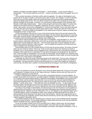heathen, and gather yourselves together round about ... Let the heathen ... come up to the valley of Jehoshaphat ... The Lord also shall roar out of Zion ... but the Lord will be the hope of his people" (Joel 3:11, 12, 16).

 This is another description of that final conflict called Armageddon. The valley of Jehoshaphat is just another title for the place of battle. It will involve every nation on earth. The "heathen" is a term to describe those who are not God's people. Satan will marshal the kings of the earth and all the wicked people to oppose the faithful saints of God. The Lord will be involved in the battle ("The Lord shall roar out of Zion"), because He fights for His people. In essence, it is a tremendous contest between Christ and Satan with followers of both sides being involved. Here is where we get to the heart of the subject. The verse calls attention to the Hebrew word for Armageddon. Apparently, the word is rooted in the Hebrew term "har moed," which means "mount of the congregation" or "mount of the assembly." Do you see where this leads us? That same term (har moed) was used by Satan when he said, "I will sit also upon the *mount of the congregation*." This ties the battle of Armageddon to the original threat of Satan to capture and destroy the congregation of God—in mount Zion.

 And the final attempt of the evil one to carry out his threat reaches down to the very last events of this earth. John the Revelator described it under the sixth plague. He saw unclean spirits going out to the kings of the earth, working miracles, and gathering them to Armageddon. These are religious forces working on the political rulers and influencing them to destroy God's faithful ones.

 If you want to read the thrilling account of God's part in Armageddon, study Revelation 19. "And I saw heaven opened, and behold a white horse; and he that sat upon him was called Faithful and True, and in righteousness he doth judge and make war ... And the armies which were in heaven followed him upon white horses clothed in fine linen, white and clean ... and he treadeth the *winepress of the fierceness and wrath* of Almighty God" (Revelation 19:11-15).

 Several things stand out in this symbolic picture of Christ and His second coming. The armies of heaven make war and "smite the nations" (Verse 15). These are the nations which were stirred by evil spirits in Revelation 16:14. Christ prevails in this Armageddon clash. Notice that this war is described as treading the winepress of the wrath of God. In Revelation 15:1 the seven last plagues are designated as "the wrath of God." Since the battle of Armageddon is set up under the sixth plague, and the plagues are called the wrath of God; and since Christ's army makes war by treading the winepress of God's wrath, we must conclude that Revelation 19 is a clear picture of Armageddon.

 Incidentally, the vials of the wrath of God were poured on the whole earth. "Go your ways, and pour out the vials of the wrath of God upon the earth." (Revelation 16:1). This is why all the nations are involved in Armageddon. The good and evil of all the world will be drawn into it. Since God's people are scattered in every country, the entire earth is spoken of as being affected by the plagues, one of which is Armageddon.

### 7 **EUPHRATES DRIED UP**

We are now prepared to examine Revelation 16:12 and let the Bible interpret the "drying up of the great" river Euphrates" to prepare the way for the "kings of the east." Whatever these events are, they occur as Armageddon approaches a violent climax.

 In order to understand this prophecy, we must refer to the parallel experience of ancient Babylon. Six hundred years before Christ was born, the pagan kingdom of Babylon was the great enemy of God's people. For 70 years they held the Hebrew people in subjection and bondage. Finally Babylon was overthrown by Cyrus the Mede, and the Israelites were delivered. Cyrus came from the east and captured Babylon by diverting the Euphrates River, thus getting access under the water gates of the channel. God said to Babylon, "I will *dry up thy rivers*. ... Thus saith the Lord to his *anointed*, to Cyrus ... to open before him the two leaved gates; and the gates shall not be shut" (Isaiah 44:27; 45:1). God "raised up the righteous man (Cyrus) from the east" (Isaiah 41:2). Cyrus is referred to by God as the "anointed" and "the righteous man."

 According to the principle of interpretation, the *literal* account in the Old Testament must be applied in a *spiritual* sense at the end-time. Thus, we read in the book of Revelation about spiritual Israel (the church) being oppressed by ''Babylon the Great'' (Revelation 17:5, 6). This Babylon is not a physical kingdom but a counterfeit religious system manipulated by Satan. God's people are finally delivered from the power of spiritual Babylon by the drying up of the waters of the river Euphrates. "And the sixth angel poured out his vial upon the great river Euphrates; and the water thereof was dried up, that the way of the kings of the east might be prepared" (Revelation 16:12).

 The startling similarity to the Old Testament story is obvious, but we must remember that the secondary application cannot be literal. The immediate fulfillment is always literal and local, but the last-day fulfillment reaches worldwide and has a spiritual application only.

 So we do not expect a literal Cyrus to dry up a literal river to deliver a literal Israel. We have already discovered that all God's true people are spiritual Israelites. Now what does the water represent? "The waters which thou sawest ... are peoples, and multitudes, and nations, and tongues" (Revelation 17:15). In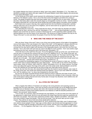this chapter Babylon the Great is pictured as sitting "upon many waters" (Revelation 17:1). The waters are identified as people and nations who give support to the great Babylon harlot (false religion) who persecutes the true saints (Revelation 17:6).

 So the drying up of the waters would represent the withdrawing of support by those people who had been followers of the Babylon system. This is one of the final events that happens just before the coming of Christ. The people recognize that they have been duped, and in a rage they turn on each other. Zechariah describes what takes place under this seventh plague as Armageddon reaches its climax. "And this shall be the plague wherewith the Lord will smite all the people that have fought against Jerusalem (God's people); ... And it shall come to pass in that day, that a great tumult from the Lord shall be among them; and they shall lay hold every one on the hand of his neighbour, and *his hand shall rise up against the hand of his neighbour*" (Zechariah 14:12, 13).

 John described the scene thus, "These shall hate the whore, and shall make her desolate and naked, and shall eat her flesh, and burn her with fire" (Revelation 17:16). Just as literal Euphrates in ancient Babylon was turned from an asset to a means of destroying her, so the supporting waters (people) of the spiritual Babylon turn into the means of her destruction. This drying up of support prepares the way for the "kings of the east" to come and deliver the people of God from the hand of Babylon.

## **8 WHO ARE THE KINGS OF THE EAST?**

 Who are these "kings of the east"? Here is one of the most exciting aspects of the battle of Armageddon. Just as God's place in Zion was located in the "sides of the north," so His approach is always referred to as from the east. Why? Because anciently Zion was the actual hill north of the city of Jerusalem. Anyone coming from the east had to angle north because of the impassable deserts, and come into Zion from that direction. This is why both north and east are used in the Bible for God's quarters. "And I saw another angel ascending *from the east*, having the seal of the living God" (Revelation 7:2).

 Christ will return to this earth from the east. "For as the lightning cometh *out of the east*, and shineth even unto the west; so shall also the coming of the Son of man be" (Matthew 24:27). The "kings of the east" are exactly the same as the armies of heaven in Revelation 19 who triumph over "the beast, and the kings of the earth, and their armies" (Verse 19). God's glory was described by Ezekiel as coming from the east. "He brought me to the gate ... that looketh toward the east: And, behold, the glory of the God of Israel came from the way of the east ... and the earth shined with his glory" (Ezekiel 43:1, 2).

 John revealed the breathtaking majesty of Christ leading the armies of heaven to make war. "And the *armies* which were in heaven followed him upon white horses ... And he hath on his vesture and his thigh a name written, KING OF KINGS, AND LORD OF LORDS" (Revelation 19:14, 16). What a picture! The kings of the east riding forth against "the kings of the earth" and of the whole world. Spiritual Babylon and all the forces who followed her are destroyed by the King of kings who shall reign forever and ever.

 Cyrus, the man from the east, who saved literal Israel from the hands of ancient Babylon, was a type of the "kings of the east" who would save spiritual Israel from Babylon. Just as Cyrus was called the "anointed one" and "the righteous man," so Jesus was designated by the same titles.

 By now we can easily conclude that the second coming of Christ is really the only hope of Israel. God and Christ, the true Kings of the east, will burst upon this world at the midnight of man's extremity. When the mark of the beast is being enforced and every human plan of escape has dissolved, God's faithful ones will be snatched from certain death.

#### 9 **ALL EYES ON THE EAST**

 What a tragedy that millions of Christians are looking in the wrong direction and expecting events to transpire that can never take place. Their eyes are fixed on the east all right, but on the Middle East where hate-filled sons of Abraham try to destroy each other with American and Soviet weaponry. What kind of travesty it would be to expect those political planners and militarists to fulfill the beautiful predictions of Isaiah's "lion and lamb" world of peace.

 True it is that, for a moment, Isaac and Ishmael may stop fighting. It is also true that one of the signers of the agreement is called Israel. But let no one still cling to the empty hope that this Israel has anything to do with God's true people. They have been replaced by another nation, obedient and faithful—who have come from every kindred, tongue and people. They are the true Israel. They will never take up arms to fight anyone. They will live as Jesus lived and choose death before dishonor.

 The frail confederacy of peace signed March 26, 1979, would be less than futile, even if national Israel were still the chosen people of God. Years ago a similar alliance was formed and God appraised it in these words: "Therefore shall the strength of Pharaoh be your shame, and the trust in the shadow of Egypt your confusion. ... For the Egyptians shall help in vain, and to no purpose. ... This is a rebellious people, children